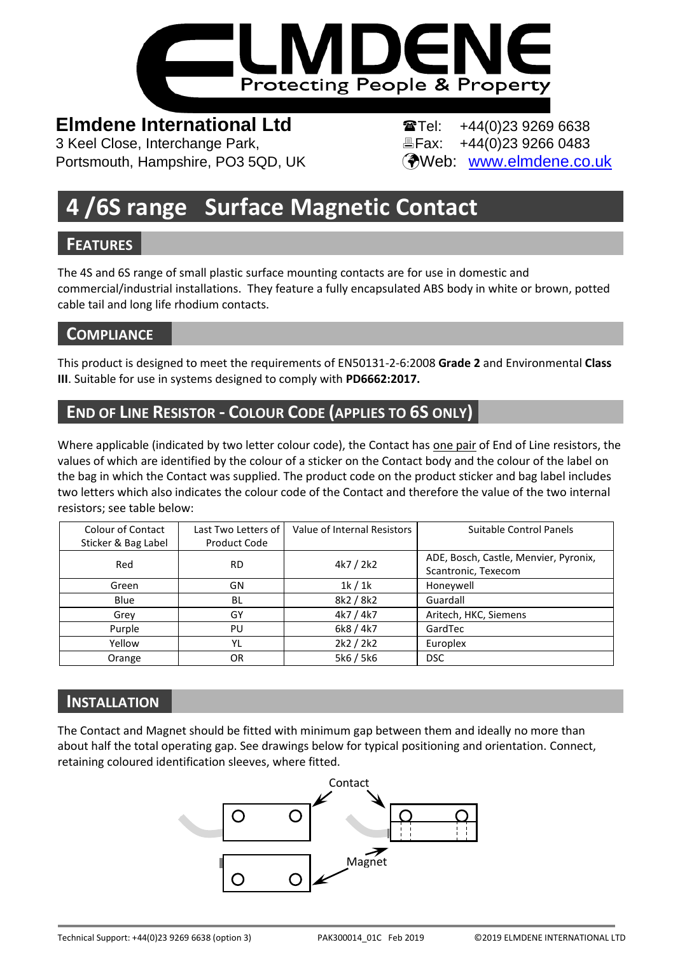

# **Elmdene International Ltd Tel:** +44(0)23 9269 6638

3 Keel Close, Interchange Park, Fax: +44(0)23 9266 0483 Portsmouth, Hampshire, PO3 5QD, UK (Web: [www.elmdene.co.uk](http://www.elmdene.co.uk/)

# **4 /6S range Surface Magnetic Contact**

# **FEATURES**

The 4S and 6S range of small plastic surface mounting contacts are for use in domestic and commercial/industrial installations. They feature a fully encapsulated ABS body in white or brown, potted cable tail and long life rhodium contacts.

# **COMPLIANCE**

This product is designed to meet the requirements of EN50131-2-6:2008 **Grade 2** and Environmental **Class III**. Suitable for use in systems designed to comply with **PD6662:2017.**

# **END OF LINE RESISTOR - COLOUR CODE (APPLIES TO 6S ONLY)**

Where applicable (indicated by two letter colour code), the Contact has one pair of End of Line resistors, the values of which are identified by the colour of a sticker on the Contact body and the colour of the label on the bag in which the Contact was supplied. The product code on the product sticker and bag label includes two letters which also indicates the colour code of the Contact and therefore the value of the two internal resistors; see table below:

| Colour of Contact<br>Sticker & Bag Label | Last Two Letters of<br>Product Code | Value of Internal Resistors | Suitable Control Panels                                      |
|------------------------------------------|-------------------------------------|-----------------------------|--------------------------------------------------------------|
| Red                                      | <b>RD</b>                           | 4k7 / 2k2                   | ADE, Bosch, Castle, Menvier, Pyronix,<br>Scantronic, Texecom |
| Green                                    | GN                                  | 1k/1k                       | Honeywell                                                    |
| Blue                                     | BL                                  | 8k2 / 8k2                   | Guardall                                                     |
| Grey                                     | GY                                  | 4k7 / 4k7                   | Aritech, HKC, Siemens                                        |
| Purple                                   | PU                                  | 6k8 / 4k7                   | GardTec                                                      |
| Yellow                                   | YL                                  | 2k2 / 2k2                   | Europlex                                                     |
| Orange                                   | 0R                                  | 5k6 / 5k6                   | <b>DSC</b>                                                   |

# **INSTALLATION**

The Contact and Magnet should be fitted with minimum gap between them and ideally no more than about half the total operating gap. See drawings below for typical positioning and orientation. Connect, retaining coloured identification sleeves, where fitted.

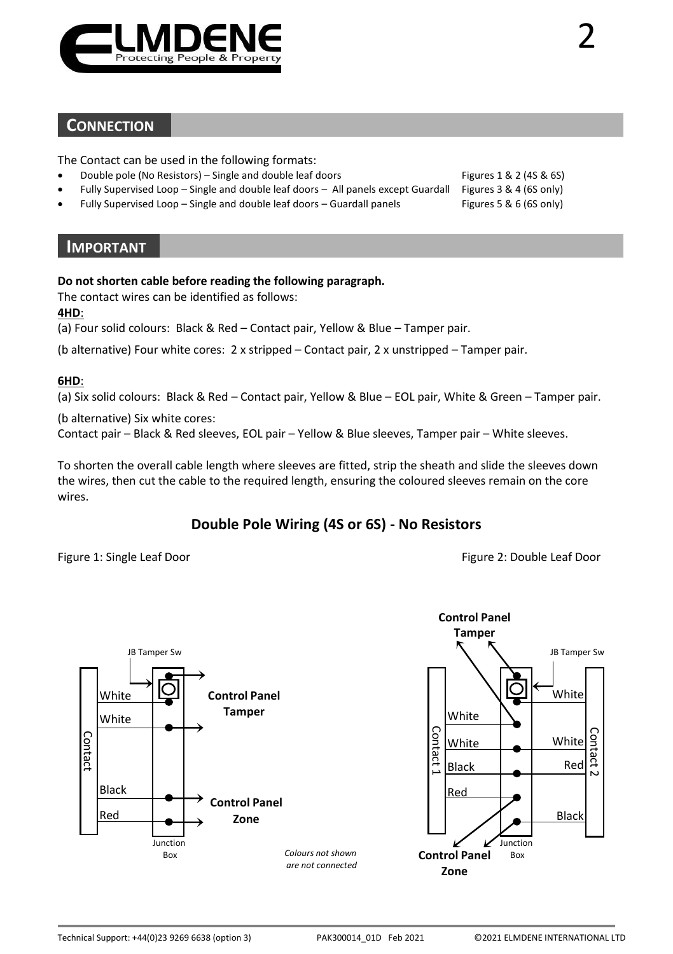

#### **CONNECTION**

The Contact can be used in the following formats:

- Double pole (No Resistors) Single and double leaf doors Figures 1 & 2 (4S & 6S)
- Fully Supervised Loop Single and double leaf doors All panels except Guardall Figures 3 & 4 (6S only)
- Fully Supervised Loop Single and double leaf doors Guardall panels Figures 5 & 6 (6S only)

#### **IMPORTANT**

#### **Do not shorten cable before reading the following paragraph.**

The contact wires can be identified as follows:

**4HD**:

(a) Four solid colours: Black & Red – Contact pair, Yellow & Blue – Tamper pair.

(b alternative) Four white cores: 2 x stripped – Contact pair, 2 x unstripped – Tamper pair.

#### **6HD**:

(a) Six solid colours: Black & Red – Contact pair, Yellow & Blue – EOL pair, White & Green – Tamper pair.

(b alternative) Six white cores:

Contact pair – Black & Red sleeves, EOL pair – Yellow & Blue sleeves, Tamper pair – White sleeves.

To shorten the overall cable length where sleeves are fitted, strip the sheath and slide the sleeves down the wires, then cut the cable to the required length, ensuring the coloured sleeves remain on the core wires.

### **Double Pole Wiring (4S or 6S) - No Resistors**

Figure 1: Single Leaf Door **Figure 2: Double Leaf Door** Figure 2: Double Leaf Door

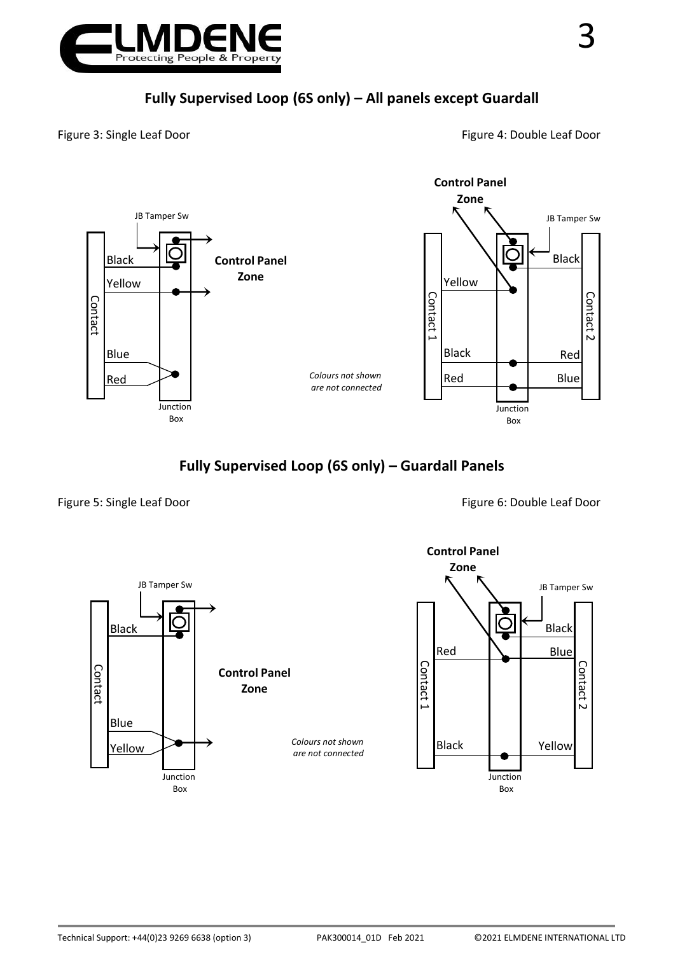

Figure 3: Single Leaf Door **Figure 4: Double Leaf Door** Figure 4: Double Leaf Door



### **Fully Supervised Loop (6S only) – Guardall Panels**

Figure 5: Single Leaf Door **Figure 5: Single Leaf Door** Figure 6: Double Leaf Door